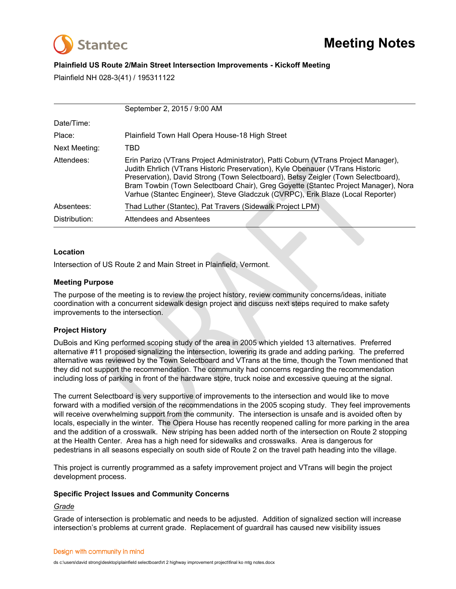

# **Plainfield US Route 2/Main Street Intersection Improvements - Kickoff Meeting**

Plainfield NH 028-3(41) / 195311122

|                        | September 2, 2015 / 9:00 AM                                                                                                                                                                                                                                                                                                                                                                                                                                                                                                                                  |
|------------------------|--------------------------------------------------------------------------------------------------------------------------------------------------------------------------------------------------------------------------------------------------------------------------------------------------------------------------------------------------------------------------------------------------------------------------------------------------------------------------------------------------------------------------------------------------------------|
| Date/Time:             |                                                                                                                                                                                                                                                                                                                                                                                                                                                                                                                                                              |
| Place:                 | Plainfield Town Hall Opera House-18 High Street                                                                                                                                                                                                                                                                                                                                                                                                                                                                                                              |
| <b>Next Meeting:</b>   | <b>TBD</b>                                                                                                                                                                                                                                                                                                                                                                                                                                                                                                                                                   |
| Attendees:             | Erin Parizo (VTrans Project Administrator), Patti Coburn (VTrans Project Manager),<br>Judith Ehrlich (VTrans Historic Preservation), Kyle Obenauer (VTrans Historic<br>Preservation), David Strong (Town Selectboard), Betsy Zeigler (Town Selectboard),<br>Bram Towbin (Town Selectboard Chair), Greg Goyette (Stantec Project Manager), Nora<br>Varhue (Stantec Engineer), Steve Gladczuk (CVRPC), Erik Blaze (Local Reporter)                                                                                                                             |
| Absentees:             | Thad Luther (Stantec), Pat Travers (Sidewalk Project LPM)                                                                                                                                                                                                                                                                                                                                                                                                                                                                                                    |
| Distribution:          | <b>Attendees and Absentees</b>                                                                                                                                                                                                                                                                                                                                                                                                                                                                                                                               |
|                        |                                                                                                                                                                                                                                                                                                                                                                                                                                                                                                                                                              |
| Location               |                                                                                                                                                                                                                                                                                                                                                                                                                                                                                                                                                              |
|                        | Intersection of US Route 2 and Main Street in Plainfield, Vermont.                                                                                                                                                                                                                                                                                                                                                                                                                                                                                           |
|                        |                                                                                                                                                                                                                                                                                                                                                                                                                                                                                                                                                              |
| <b>Meeting Purpose</b> |                                                                                                                                                                                                                                                                                                                                                                                                                                                                                                                                                              |
|                        | The purpose of the meeting is to review the project history, review community concerns/ideas, initiate<br>coordination with a concurrent sidewalk design project and discuss next steps required to make safety<br>improvements to the intersection.                                                                                                                                                                                                                                                                                                         |
| <b>Project History</b> |                                                                                                                                                                                                                                                                                                                                                                                                                                                                                                                                                              |
|                        | DuBois and King performed scoping study of the area in 2005 which yielded 13 alternatives. Preferred<br>alternative #11 proposed signalizing the intersection, lowering its grade and adding parking. The preferred<br>alternative was reviewed by the Town Selectboard and VTrans at the time, though the Town mentioned that<br>they did not support the recommendation. The community had concerns regarding the recommendation<br>including loss of parking in front of the hardware store, truck noise and excessive queuing at the signal.             |
|                        | The current Selectboard is very supportive of improvements to the intersection and would like to move<br>forward with a modified version of the recommendations in the 2005 scoping study. They feel improvements<br>will receive overwhelming support from the community. The intersection is unsafe and is avoided often by<br>locals, especially in the winter. The Opera House has recently reopened calling for more parking in the area<br>and the addition of a crosswalk . New striping has been added north of the intersection on Route 2 stopping |

## **Location**

## **Meeting Purpose**

# **Project History**

The current Selectboard is very supportive of improvements to the intersection and would like to move forward with a modified version of the recommendations in the 2005 scoping study. They feel improvements will receive overwhelming support from the community. The intersection is unsafe and is avoided often by locals, especially in the winter. The Opera House has recently reopened calling for more parking in the area and the addition of a crosswalk. New striping has been added north of the intersection on Route 2 stopping at the Health Center. Area has a high need for sidewalks and crosswalks. Area is dangerous for pedestrians in all seasons especially on south side of Route 2 on the travel path heading into the village.

This project is currently programmed as a safety improvement project and VTrans will begin the project development process.

## **Specific Project Issues and Community Concerns**

### *Grade*

Grade of intersection is problematic and needs to be adjusted. Addition of signalized section will increase intersection's problems at current grade. Replacement of guardrail has caused new visibility issues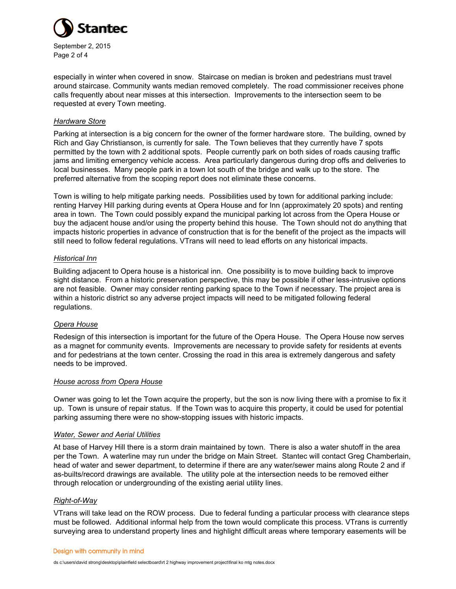

especially in winter when covered in snow. Staircase on median is broken and pedestrians must travel around staircase. Community wants median removed completely. The road commissioner receives phone calls frequently about near misses at this intersection. Improvements to the intersection seem to be requested at every Town meeting.

### *Hardware Store*

Parking at intersection is a big concern for the owner of the former hardware store. The building, owned by Rich and Gay Christianson, is currently for sale. The Town believes that they currently have 7 spots permitted by the town with 2 additional spots. People currently park on both sides of roads causing traffic jams and limiting emergency vehicle access. Area particularly dangerous during drop offs and deliveries to local businesses. Many people park in a town lot south of the bridge and walk up to the store. The preferred alternative from the scoping report does not eliminate these concerns.

Town is willing to help mitigate parking needs. Possibilities used by town for additional parking include: renting Harvey Hill parking during events at Opera House and for Inn (approximately 20 spots) and renting area in town. The Town could possibly expand the municipal parking lot across from the Opera House or buy the adjacent house and/or using the property behind this house. The Town should not do anything that impacts historic properties in advance of construction that is for the benefit of the project as the impacts will still need to follow federal regulations. VTrans will need to lead efforts on any historical impacts.

#### *Historical Inn*

Building adjacent to Opera house is a historical inn. One possibility is to move building back to improve sight distance. From a historic preservation perspective, this may be possible if other less-intrusive options are not feasible. Owner may consider renting parking space to the Town if necessary. The project area is within a historic district so any adverse project impacts will need to be mitigated following federal regulations.

### *Opera House*

Redesign of this intersection is important for the future of the Opera House. The Opera House now serves as a magnet for community events. Improvements are necessary to provide safety for residents at events and for pedestrians at the town center. Crossing the road in this area is extremely dangerous and safety needs to be improved.

#### *House across from Opera House*

Owner was going to let the Town acquire the property, but the son is now living there with a promise to fix it up. Town is unsure of repair status. If the Town was to acquire this property, it could be used for potential parking assuming there were no show-stopping issues with historic impacts.

#### *Water, Sewer and Aerial Utilities*

At base of Harvey Hill there is a storm drain maintained by town. There is also a water shutoff in the area per the Town. A waterline may run under the bridge on Main Street. Stantec will contact Greg Chamberlain, head of water and sewer department, to determine if there are any water/sewer mains along Route 2 and if as-builts/record drawings are available. The utility pole at the intersection needs to be removed either through relocation or undergrounding of the existing aerial utility lines.

### *Right-of-Way*

VTrans will take lead on the ROW process. Due to federal funding a particular process with clearance steps must be followed. Additional informal help from the town would complicate this process. VTrans is currently surveying area to understand property lines and highlight difficult areas where temporary easements will be